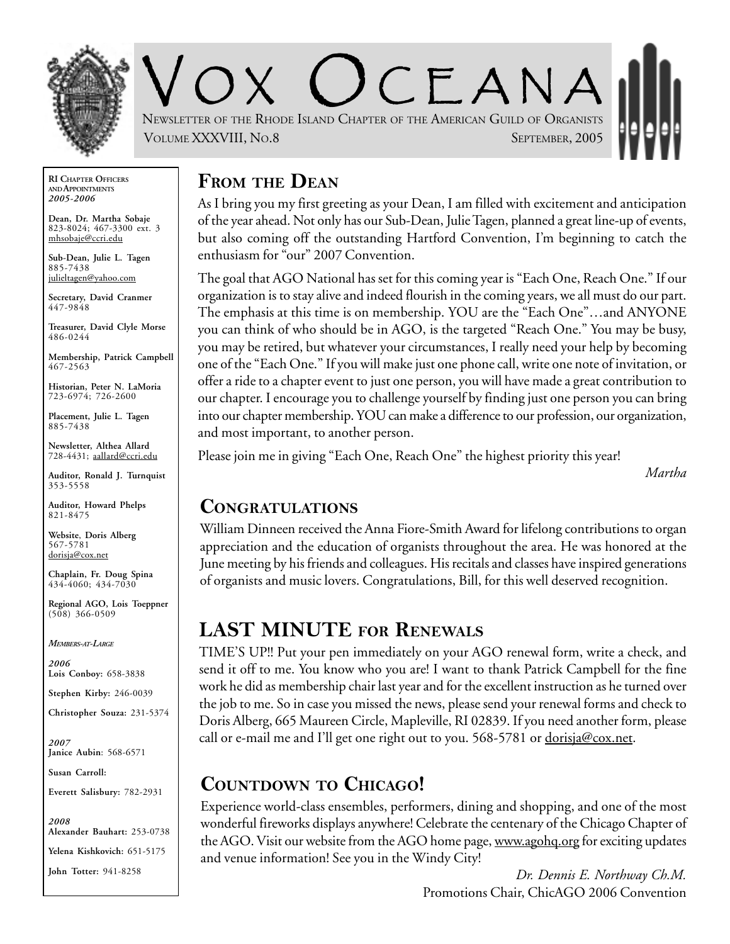

 $C$   $F$   $A$  N  $A$ NEWSLETTER OF THE RHODE ISLAND CHAPTER OF THE AMERICAN GUILD OF ORGANISTS VOLUME XXXVIII, NO.8 SEPTEMBER, 2005

**RI CHAPTER OFFICERS AND APPOINTMENTS** *2005-2006*

**Dean, Dr. Martha Sobaje** 823-8024; 467-3300 ext. 3 mhsobaje@ccri.edu

**Sub-Dean, Julie L. Tagen** 885-7438 julieltagen@yahoo.com

**Secretary, David Cranmer** 447-9848

**Treasurer, David Clyle Morse** 486-0244

**Membership, Patrick Campbell** 467-2563

**Historian, Peter N. LaMoria** 723-6974; 726-2600

**Placement, Julie L. Tagen** 885-7438

**Newsletter, Althea Allard** 728-4431; aallard@ccri.edu

**Auditor, Ronald J. Turnquist** 353-5558

**Auditor, Howard Phelps** 821-8475

**Website**, **Doris Alberg** 567-5781 dorisja@cox.net

**Chaplain, Fr. Doug Spina** 434-4060; 434-7030

**Regional AGO, Lois Toeppner**  $(508)$  366-0509

*MEMBERS-AT-LARGE*

*2006* **Lois Conboy:** 658-3838

**Stephen Kirby:** 246-0039

**Christopher Souza:** 231-5374

*2007* **Janice Aubin**: 568-6571

**Susan Carroll:**

**Everett Salisbury:** 782-2931

*2008* **Alexander Bauhart:** 253-0738 **Yelena Kishkovich:** 651-5175 **John Totter:** 941-8258

### **FROM THE DEAN**

As I bring you my first greeting as your Dean, I am filled with excitement and anticipation of the year ahead. Not only has our Sub-Dean, Julie Tagen, planned a great line-up of events, but also coming off the outstanding Hartford Convention, I'm beginning to catch the enthusiasm for "our" 2007 Convention.

The goal that AGO National has set for this coming year is "Each One, Reach One." If our organization is to stay alive and indeed flourish in the coming years, we all must do our part. The emphasis at this time is on membership. YOU are the "Each One"…and ANYONE you can think of who should be in AGO, is the targeted "Reach One." You may be busy, you may be retired, but whatever your circumstances, I really need your help by becoming one of the "Each One." If you will make just one phone call, write one note of invitation, or offer a ride to a chapter event to just one person, you will have made a great contribution to our chapter. I encourage you to challenge yourself by finding just one person you can bring into our chapter membership. YOU can make a difference to our profession, our organization, and most important, to another person.

Please join me in giving "Each One, Reach One" the highest priority this year!

*Martha*

### **CONGRATULATIONS**

William Dinneen received the Anna Fiore-Smith Award for lifelong contributions to organ appreciation and the education of organists throughout the area. He was honored at the June meeting by his friends and colleagues. His recitals and classes have inspired generations of organists and music lovers. Congratulations, Bill, for this well deserved recognition.

## **LAST MINUTE FOR RENEWALS**

TIME'S UP!! Put your pen immediately on your AGO renewal form, write a check, and send it off to me. You know who you are! I want to thank Patrick Campbell for the fine work he did as membership chair last year and for the excellent instruction as he turned over the job to me. So in case you missed the news, please send your renewal forms and check to Doris Alberg, 665 Maureen Circle, Mapleville, RI 02839. If you need another form, please call or e-mail me and I'll get one right out to you. 568-5781 or  $\frac{d^2\omega}{dx^2}$  ox.net.

## **COUNTDOWN TO CHICAGO!**

Experience world-class ensembles, performers, dining and shopping, and one of the most wonderful fireworks displays anywhere! Celebrate the centenary of the Chicago Chapter of the AGO. Visit our website from the AGO home page, www.agohq.org for exciting updates and venue information! See you in the Windy City!

*Dr. Dennis E. Northway Ch.M.* Promotions Chair, ChicAGO 2006 Convention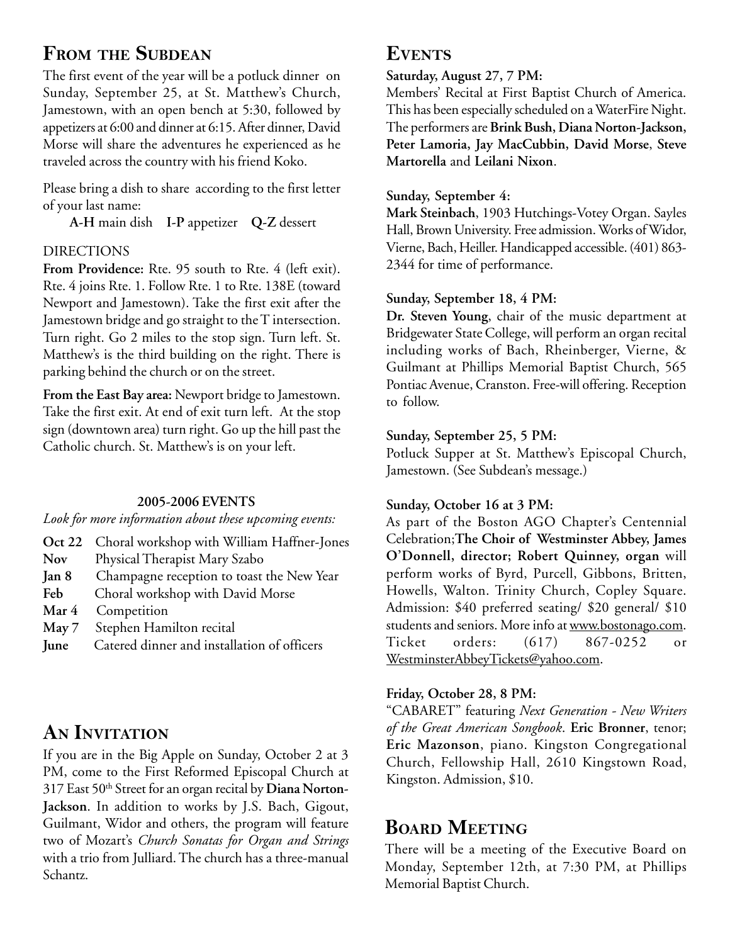## **FROM THE SUBDEAN**

The first event of the year will be a potluck dinner on Sunday, September 25, at St. Matthew's Church, Jamestown, with an open bench at 5:30, followed by appetizers at 6:00 and dinner at 6:15. After dinner, David Morse will share the adventures he experienced as he traveled across the country with his friend Koko.

Please bring a dish to share according to the first letter of your last name:

**A-H** main dish **I-P** appetizer **Q-Z** dessert

#### DIRECTIONS

From Providence: Rte. 95 south to Rte. 4 (left exit). Rte. 4 joins Rte. 1. Follow Rte. 1 to Rte. 138E (toward Newport and Jamestown). Take the first exit after the Jamestown bridge and go straight to the T intersection. Turn right. Go 2 miles to the stop sign. Turn left. St. Matthew's is the third building on the right. There is parking behind the church or on the street.

**From the East Bay area:** Newport bridge to Jamestown. Take the first exit. At end of exit turn left. At the stop sign (downtown area) turn right. Go up the hill past the Catholic church. St. Matthew's is on your left.

#### **2005-2006 EVENTS**

*Look for more information about these upcoming events:*

- **Oct 22** Choral workshop with William Haffner-Jones
- **Nov** Physical Therapist Mary Szabo
- **Jan 8** Champagne reception to toast the New Year
- **Feb** Choral workshop with David Morse
- **Mar 4** Competition
- **May 7** Stephen Hamilton recital
- **June** Catered dinner and installation of officers

## **AN INVITATION**

If you are in the Big Apple on Sunday, October 2 at 3 PM, come to the First Reformed Episcopal Church at 317 East 50<sup>th</sup> Street for an organ recital by Diana Norton-**Jackson**. In addition to works by J.S. Bach, Gigout, Guilmant, Widor and others, the program will feature two of Mozart's *Church Sonatas for Organ and Strings* with a trio from Julliard. The church has a three-manual Schantz.

### **EVENTS**

#### **Saturday, August 27, 7 PM:**

Members' Recital at First Baptist Church of America. This has been especially scheduled on a WaterFire Night. The performers are **Brink Bush, Diana Norton-Jackson, Peter Lamoria, Jay MacCubbin, David Morse**, **Steve Martorella** and **Leilani Nixon**.

#### **Sunday, September 4:**

**Mark Steinbach**, 1903 Hutchings-Votey Organ. Sayles Hall, Brown University. Free admission. Works of Widor, Vierne, Bach, Heiller. Handicapped accessible. (401) 863- 2344 for time of performance.

#### **Sunday, September 18, 4 PM:**

**Dr. Steven Young**, chair of the music department at Bridgewater State College, will perform an organ recital including works of Bach, Rheinberger, Vierne, & Guilmant at Phillips Memorial Baptist Church, 565 Pontiac Avenue, Cranston. Free-will offering. Reception to follow.

#### **Sunday, September 25, 5 PM:**

Potluck Supper at St. Matthew's Episcopal Church, Jamestown. (See Subdean's message.)

#### **Sunday, October 16 at 3 PM:**

As part of the Boston AGO Chapter's Centennial Celebration;**The Choir of Westminster Abbey, James O'Donnell, director; Robert Quinney, organ** will perform works of Byrd, Purcell, Gibbons, Britten, Howells, Walton. Trinity Church, Copley Square. Admission: \$40 preferred seating/ \$20 general/ \$10 students and seniors. More info at www.bostonago.com. Ticket orders: (617) 867-0252 or WestminsterAbbeyTickets@yahoo.com.

#### **Friday, October 28, 8 PM:**

"CABARET" featuring *Next Generation - New Writers of the Great American Songbook*. **Eric Bronner**, tenor; **Eric Mazonson**, piano. Kingston Congregational Church, Fellowship Hall, 2610 Kingstown Road, Kingston. Admission, \$10.

## **BOARD MEETING**

There will be a meeting of the Executive Board on Monday, September 12th, at 7:30 PM, at Phillips Memorial Baptist Church.